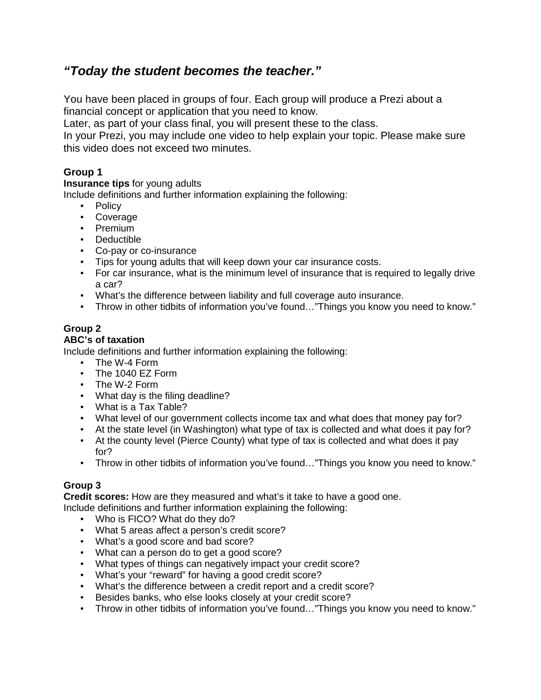# **"Today the student becomes the teacher."**

You have been placed in groups of four. Each group will produce a Prezi about a financial concept or application that you need to know.

Later, as part of your class final, you will present these to the class.

In your Prezi, you may include one video to help explain your topic. Please make sure this video does not exceed two minutes.

# **Group 1**

**Insurance tips** for young adults

Include definitions and further information explaining the following:

- Policy
- Coverage
- Premium
- Deductible
- Co-pay or co-insurance
- Tips for young adults that will keep down your car insurance costs.
- For car insurance, what is the minimum level of insurance that is required to legally drive a car?
- What's the difference between liability and full coverage auto insurance.
- Throw in other tidbits of information you've found..."Things you know you need to know."

# **Group 2**

#### **ABC's of taxation**

Include definitions and further information explaining the following:

- The W-4 Form
- The 1040 EZ Form
- The W-2 Form
- What day is the filing deadline?
- What is a Tax Table?
- What level of our government collects income tax and what does that money pay for?
- At the state level (in Washington) what type of tax is collected and what does it pay for?
- At the county level (Pierce County) what type of tax is collected and what does it pay for?
- Throw in other tidbits of information you've found..."Things you know you need to know."

## **Group 3**

**Credit scores:** How are they measured and what's it take to have a good one.

Include definitions and further information explaining the following:

- Who is FICO? What do they do?
- What 5 areas affect a person's credit score?
- What's a good score and bad score?
- What can a person do to get a good score?
- What types of things can negatively impact your credit score?
- What's your "reward" for having a good credit score?
- What's the difference between a credit report and a credit score?
- Besides banks, who else looks closely at your credit score?
- Throw in other tidbits of information you've found..."Things you know you need to know."